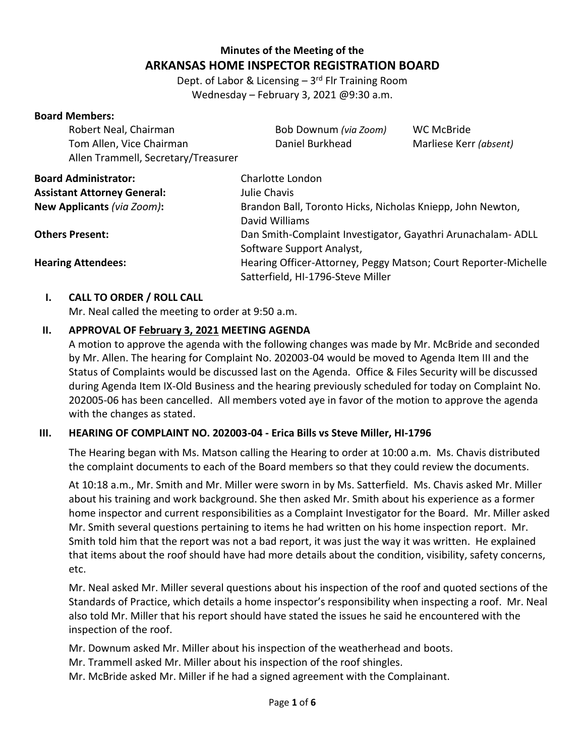# **Minutes of the Meeting of the ARKANSAS HOME INSPECTOR REGISTRATION BOARD**

Dept. of Labor & Licensing - 3<sup>rd</sup> Flr Training Room Wednesday – February 3, 2021 @9:30 a.m.

| <b>Board Members:</b>               |                                                                 |                        |  |
|-------------------------------------|-----------------------------------------------------------------|------------------------|--|
| Robert Neal, Chairman               | Bob Downum (via Zoom)                                           | WC McBride             |  |
| Tom Allen, Vice Chairman            | Daniel Burkhead                                                 | Marliese Kerr (absent) |  |
| Allen Trammell, Secretary/Treasurer |                                                                 |                        |  |
| <b>Board Administrator:</b>         | Charlotte London                                                |                        |  |
| <b>Assistant Attorney General:</b>  | Julie Chavis                                                    |                        |  |
| New Applicants (via Zoom):          | Brandon Ball, Toronto Hicks, Nicholas Kniepp, John Newton,      |                        |  |
|                                     | David Williams                                                  |                        |  |
| <b>Others Present:</b>              | Dan Smith-Complaint Investigator, Gayathri Arunachalam-ADLL     |                        |  |
|                                     | Software Support Analyst,                                       |                        |  |
| <b>Hearing Attendees:</b>           | Hearing Officer-Attorney, Peggy Matson; Court Reporter-Michelle |                        |  |
|                                     | Satterfield, HI-1796-Steve Miller                               |                        |  |

#### **I. CALL TO ORDER / ROLL CALL**

Mr. Neal called the meeting to order at 9:50 a.m.

## **II. APPROVAL OF February 3, 2021 MEETING AGENDA**

A motion to approve the agenda with the following changes was made by Mr. McBride and seconded by Mr. Allen. The hearing for Complaint No. 202003-04 would be moved to Agenda Item III and the Status of Complaints would be discussed last on the Agenda. Office & Files Security will be discussed during Agenda Item IX-Old Business and the hearing previously scheduled for today on Complaint No. 202005-06 has been cancelled. All members voted aye in favor of the motion to approve the agenda with the changes as stated.

## **III. HEARING OF COMPLAINT NO. 202003-04 - Erica Bills vs Steve Miller, HI-1796**

The Hearing began with Ms. Matson calling the Hearing to order at 10:00 a.m. Ms. Chavis distributed the complaint documents to each of the Board members so that they could review the documents.

At 10:18 a.m., Mr. Smith and Mr. Miller were sworn in by Ms. Satterfield. Ms. Chavis asked Mr. Miller about his training and work background. She then asked Mr. Smith about his experience as a former home inspector and current responsibilities as a Complaint Investigator for the Board. Mr. Miller asked Mr. Smith several questions pertaining to items he had written on his home inspection report. Mr. Smith told him that the report was not a bad report, it was just the way it was written. He explained that items about the roof should have had more details about the condition, visibility, safety concerns, etc.

Mr. Neal asked Mr. Miller several questions about his inspection of the roof and quoted sections of the Standards of Practice, which details a home inspector's responsibility when inspecting a roof. Mr. Neal also told Mr. Miller that his report should have stated the issues he said he encountered with the inspection of the roof.

Mr. Downum asked Mr. Miller about his inspection of the weatherhead and boots.

Mr. Trammell asked Mr. Miller about his inspection of the roof shingles.

Mr. McBride asked Mr. Miller if he had a signed agreement with the Complainant.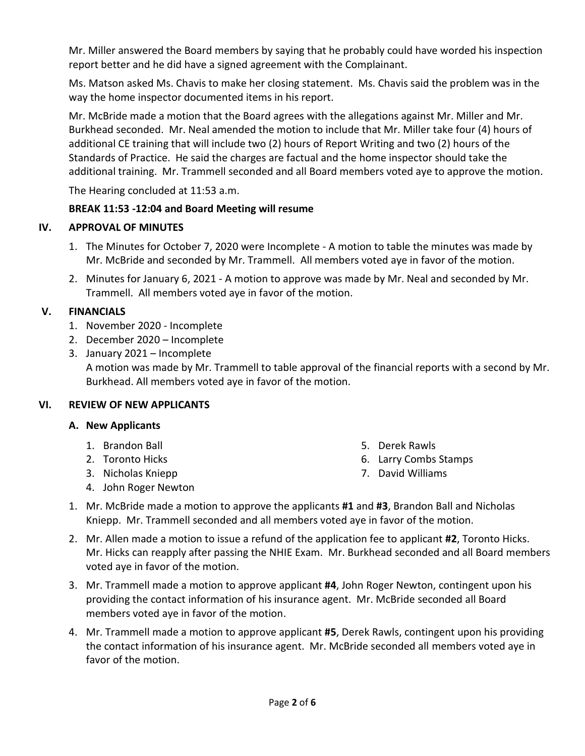Mr. Miller answered the Board members by saying that he probably could have worded his inspection report better and he did have a signed agreement with the Complainant.

Ms. Matson asked Ms. Chavis to make her closing statement. Ms. Chavis said the problem was in the way the home inspector documented items in his report.

Mr. McBride made a motion that the Board agrees with the allegations against Mr. Miller and Mr. Burkhead seconded. Mr. Neal amended the motion to include that Mr. Miller take four (4) hours of additional CE training that will include two (2) hours of Report Writing and two (2) hours of the Standards of Practice. He said the charges are factual and the home inspector should take the additional training. Mr. Trammell seconded and all Board members voted aye to approve the motion.

The Hearing concluded at 11:53 a.m.

# **BREAK 11:53 -12:04 and Board Meeting will resume**

# **IV. APPROVAL OF MINUTES**

- 1. The Minutes for October 7, 2020 were Incomplete A motion to table the minutes was made by Mr. McBride and seconded by Mr. Trammell. All members voted aye in favor of the motion.
- 2. Minutes for January 6, 2021 A motion to approve was made by Mr. Neal and seconded by Mr. Trammell. All members voted aye in favor of the motion.

# **V. FINANCIALS**

- 1. November 2020 Incomplete
- 2. December 2020 Incomplete
- 3. January 2021 Incomplete A motion was made by Mr. Trammell to table approval of the financial reports with a second by Mr. Burkhead. All members voted aye in favor of the motion.

# **VI. REVIEW OF NEW APPLICANTS /**

# **A. New Applicants**

- 1. Brandon Ball
- 2. Toronto Hicks
- 3. Nicholas Kniepp
- 4. John Roger Newton
- 5. Derek Rawls
- 6. Larry Combs Stamps
- 7. David Williams
- 1. Mr. McBride made a motion to approve the applicants **#1** and **#3**, Brandon Ball and Nicholas Kniepp. Mr. Trammell seconded and all members voted aye in favor of the motion.
- 2. Mr. Allen made a motion to issue a refund of the application fee to applicant **#2**, Toronto Hicks. Mr. Hicks can reapply after passing the NHIE Exam. Mr. Burkhead seconded and all Board members voted aye in favor of the motion.
- 3. Mr. Trammell made a motion to approve applicant **#4**, John Roger Newton, contingent upon his providing the contact information of his insurance agent. Mr. McBride seconded all Board members voted aye in favor of the motion.
- 4. Mr. Trammell made a motion to approve applicant **#5**, Derek Rawls, contingent upon his providing the contact information of his insurance agent. Mr. McBride seconded all members voted aye in favor of the motion.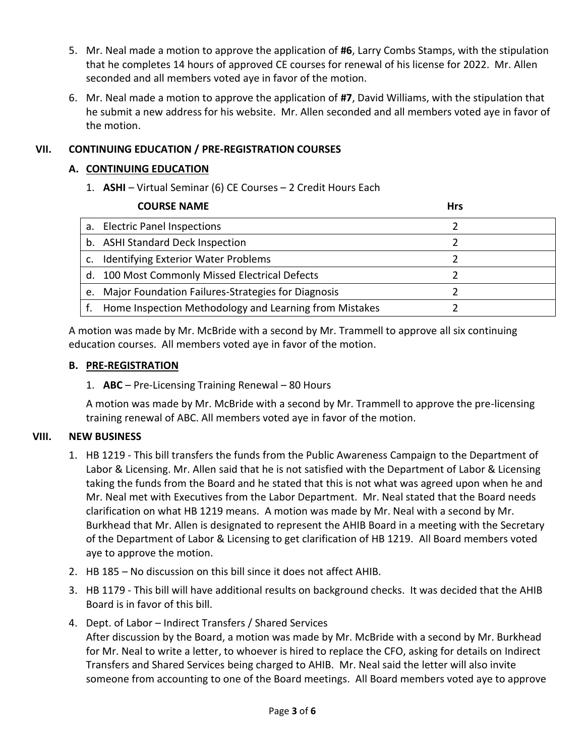- 5. Mr. Neal made a motion to approve the application of **#6**, Larry Combs Stamps, with the stipulation that he completes 14 hours of approved CE courses for renewal of his license for 2022. Mr. Allen seconded and all members voted aye in favor of the motion.
- 6. Mr. Neal made a motion to approve the application of **#7**, David Williams, with the stipulation that he submit a new address for his website. Mr. Allen seconded and all members voted aye in favor of the motion.

### **VII. CONTINUING EDUCATION / PRE-REGISTRATION COURSES**

#### **A. CONTINUING EDUCATION**

1. **ASHI** – Virtual Seminar (6) CE Courses – 2 Credit Hours Each

|    | <b>COURSE NAME</b>                                     | <b>Hrs</b> |
|----|--------------------------------------------------------|------------|
|    | a. Electric Panel Inspections                          |            |
|    | b. ASHI Standard Deck Inspection                       |            |
| c. | <b>Identifying Exterior Water Problems</b>             |            |
|    | d. 100 Most Commonly Missed Electrical Defects         |            |
| e. | Major Foundation Failures-Strategies for Diagnosis     |            |
|    | Home Inspection Methodology and Learning from Mistakes |            |

A motion was made by Mr. McBride with a second by Mr. Trammell to approve all six continuing education courses. All members voted aye in favor of the motion.

#### **B. PRE-REGISTRATION**

1. **ABC** – Pre-Licensing Training Renewal – 80 Hours

A motion was made by Mr. McBride with a second by Mr. Trammell to approve the pre-licensing training renewal of ABC. All members voted aye in favor of the motion.

#### **VIII. NEW BUSINESS**

- 1. HB 1219 This bill transfers the funds from the Public Awareness Campaign to the Department of Labor & Licensing. Mr. Allen said that he is not satisfied with the Department of Labor & Licensing taking the funds from the Board and he stated that this is not what was agreed upon when he and Mr. Neal met with Executives from the Labor Department. Mr. Neal stated that the Board needs clarification on what HB 1219 means. A motion was made by Mr. Neal with a second by Mr. Burkhead that Mr. Allen is designated to represent the AHIB Board in a meeting with the Secretary of the Department of Labor & Licensing to get clarification of HB 1219. All Board members voted aye to approve the motion.
- 2. HB 185 No discussion on this bill since it does not affect AHIB.
- 3. HB 1179 This bill will have additional results on background checks. It was decided that the AHIB Board is in favor of this bill.
- 4. Dept. of Labor Indirect Transfers / Shared Services After discussion by the Board, a motion was made by Mr. McBride with a second by Mr. Burkhead for Mr. Neal to write a letter, to whoever is hired to replace the CFO, asking for details on Indirect Transfers and Shared Services being charged to AHIB. Mr. Neal said the letter will also invite someone from accounting to one of the Board meetings. All Board members voted aye to approve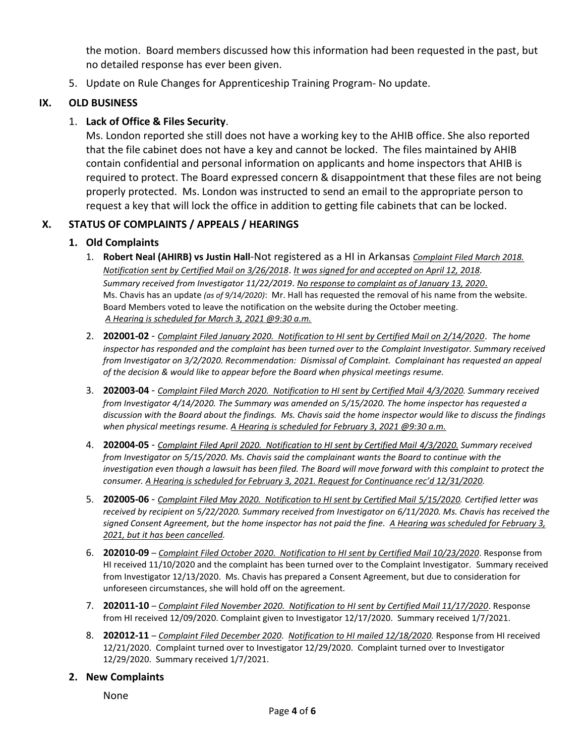the motion. Board members discussed how this information had been requested in the past, but no detailed response has ever been given.

5. Update on Rule Changes for Apprenticeship Training Program- No update.

#### **IX. OLD BUSINESS**

### 1. **Lack of Office & Files Security**.

Ms. London reported she still does not have a working key to the AHIB office. She also reported that the file cabinet does not have a key and cannot be locked. The files maintained by AHIB contain confidential and personal information on applicants and home inspectors that AHIB is required to protect. The Board expressed concern & disappointment that these files are not being properly protected. Ms. London was instructed to send an email to the appropriate person to request a key that will lock the office in addition to getting file cabinets that can be locked.

#### **X. STATUS OF COMPLAINTS / APPEALS / HEARINGS**

#### **1. Old Complaints**

- 1. **Robert Neal (AHIRB) vs Justin Hall**-Not registered as a HI in Arkansas *Complaint Filed March 2018. Notification sent by Certified Mail on 3/26/2018*. *It was signed for and accepted on April 12, 2018. Summary received from Investigator 11/22/2019*. *No response to complaint as of January 13, 2020*. Ms. Chavis has an update *(as of 9/14/2020)*: Mr. Hall has requested the removal of his name from the website. Board Members voted to leave the notification on the website during the October meeting. *A Hearing is scheduled for March 3, 2021 @9:30 a.m.*
- 2. **202001-02** *Complaint Filed January 2020. Notification to HI sent by Certified Mail on 2/14/2020*. *The home inspector has responded and the complaint has been turned over to the Complaint Investigator. Summary received from Investigator on 3/2/2020. Recommendation: Dismissal of Complaint. Complainant has requested an appeal of the decision & would like to appear before the Board when physical meetings resume.*
- 3. **202003-04** *Complaint Filed March 2020. Notification to HI sent by Certified Mail 4/3/2020. Summary received from Investigator 4/14/2020. The Summary was amended on 5/15/2020. The home inspector has requested a discussion with the Board about the findings. Ms. Chavis said the home inspector would like to discuss the findings when physical meetings resume. A Hearing is scheduled for February 3, 2021 @9:30 a.m.*
- 4. **202004-05** *Complaint Filed April 2020. Notification to HI sent by Certified Mail 4/3/2020. Summary received from Investigator on 5/15/2020. Ms. Chavis said the complainant wants the Board to continue with the investigation even though a lawsuit has been filed. The Board will move forward with this complaint to protect the consumer. A Hearing is scheduled for February 3, 2021. Request for Continuance rec'd 12/31/2020.*
- 5. **202005-06** *Complaint Filed May 2020. Notification to HI sent by Certified Mail 5/15/2020. Certified letter was received by recipient on 5/22/2020. Summary received from Investigator on 6/11/2020. Ms. Chavis has received the signed Consent Agreement, but the home inspector has not paid the fine. A Hearing was scheduled for February 3, 2021, but it has been cancelled.*
- 6. **202010-09** *Complaint Filed October 2020. Notification to HI sent by Certified Mail 10/23/2020*. Response from HI received 11/10/2020 and the complaint has been turned over to the Complaint Investigator. Summary received from Investigator 12/13/2020. Ms. Chavis has prepared a Consent Agreement, but due to consideration for unforeseen circumstances, she will hold off on the agreement.
- 7. **202011-10** *Complaint Filed November 2020. Notification to HI sent by Certified Mail 11/17/2020*. Response from HI received 12/09/2020. Complaint given to Investigator 12/17/2020. Summary received 1/7/2021.
- 8. **202012-11** *Complaint Filed December 2020. Notification to HI mailed 12/18/2020.* Response from HI received 12/21/2020. Complaint turned over to Investigator 12/29/2020. Complaint turned over to Investigator 12/29/2020. Summary received 1/7/2021.

#### **2. New Complaints**

None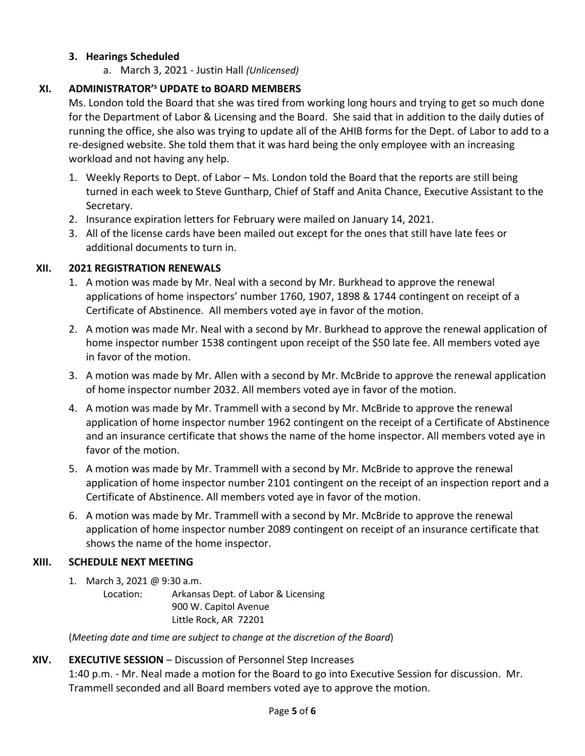## **3. Hearings Scheduled**

a. March 3, 2021 - Justin Hall *(Unlicensed)*

# **XI. ADMINISTRATOR'<sup>s</sup> UPDATE to BOARD MEMBERS**

Ms. London told the Board that she was tired from working long hours and trying to get so much done for the Department of Labor & Licensing and the Board. She said that in addition to the daily duties of running the office, she also was trying to update all of the AHIB forms for the Dept. of Labor to add to a re-designed website. She told them that it was hard being the only employee with an increasing workload and not having any help.

- 1. Weekly Reports to Dept. of Labor Ms. London told the Board that the reports are still being turned in each week to Steve Guntharp, Chief of Staff and Anita Chance, Executive Assistant to the Secretary.
- 2. Insurance expiration letters for February were mailed on January 14, 2021.
- 3. All of the license cards have been mailed out except for the ones that still have late fees or additional documents to turn in.

## **XII. 2021 REGISTRATION RENEWALS**

- 1. A motion was made by Mr. Neal with a second by Mr. Burkhead to approve the renewal applications of home inspectors' number 1760, 1907, 1898 & 1744 contingent on receipt of a Certificate of Abstinence. All members voted aye in favor of the motion.
- 2. A motion was made Mr. Neal with a second by Mr. Burkhead to approve the renewal application of home inspector number 1538 contingent upon receipt of the \$50 late fee. All members voted aye in favor of the motion.
- 3. A motion was made by Mr. Allen with a second by Mr. McBride to approve the renewal application of home inspector number 2032. All members voted aye in favor of the motion.
- 4. A motion was made by Mr. Trammell with a second by Mr. McBride to approve the renewal application of home inspector number 1962 contingent on the receipt of a Certificate of Abstinence and an insurance certificate that shows the name of the home inspector. All members voted aye in favor of the motion.
- 5. A motion was made by Mr. Trammell with a second by Mr. McBride to approve the renewal application of home inspector number 2101 contingent on the receipt of an inspection report and a Certificate of Abstinence. All members voted aye in favor of the motion.
- 6. A motion was made by Mr. Trammell with a second by Mr. McBride to approve the renewal application of home inspector number 2089 contingent on receipt of an insurance certificate that shows the name of the home inspector.

## **XIII. SCHEDULE NEXT MEETING**

1. March 3, 2021 @ 9:30 a.m.

Location: Arkansas Dept. of Labor & Licensing 900 W. Capitol Avenue Little Rock, AR 72201

(*Meeting date and time are subject to change at the discretion of the Board*)

## **XIV. EXECUTIVE SESSION** – Discussion of Personnel Step Increases

1:40 p.m. - Mr. Neal made a motion for the Board to go into Executive Session for discussion. Mr. Trammell seconded and all Board members voted aye to approve the motion.